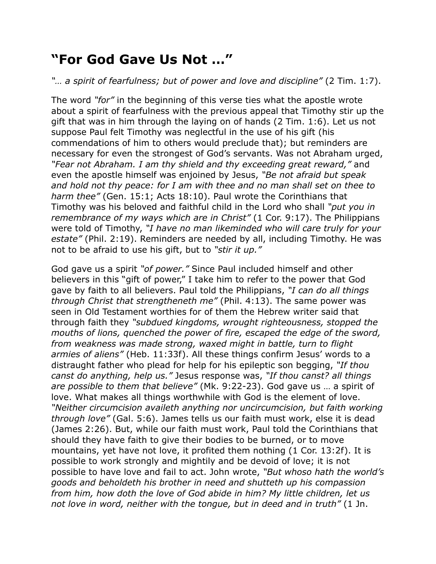## **"For God Gave Us Not …"**

## *"… a spirit of fearfulness; but of power and love and discipline"* (2 Tim. 1:7).

The word *"for"* in the beginning of this verse ties what the apostle wrote about a spirit of fearfulness with the previous appeal that Timothy stir up the gift that was in him through the laying on of hands (2 Tim. 1:6). Let us not suppose Paul felt Timothy was neglectful in the use of his gift (his commendations of him to others would preclude that); but reminders are necessary for even the strongest of God's servants. Was not Abraham urged, *"Fear not Abraham. I am thy shield and thy exceeding great reward,"* and even the apostle himself was enjoined by Jesus, *"Be not afraid but speak and hold not thy peace: for I am with thee and no man shall set on thee to harm thee"* (Gen. 15:1; Acts 18:10). Paul wrote the Corinthians that Timothy was his beloved and faithful child in the Lord who shall *"put you in remembrance of my ways which are in Christ"* (1 Cor. 9:17). The Philippians were told of Timothy, *"I have no man likeminded who will care truly for your estate"* (Phil. 2:19). Reminders are needed by all, including Timothy. He was not to be afraid to use his gift, but to *"stir it up."*

God gave us a spirit *"of power."* Since Paul included himself and other believers in this "gift of power," I take him to refer to the power that God gave by faith to all believers. Paul told the Philippians, *"I can do all things through Christ that strengtheneth me"* (Phil. 4:13). The same power was seen in Old Testament worthies for of them the Hebrew writer said that through faith they *"subdued kingdoms, wrought righteousness, stopped the mouths of lions, quenched the power of fire, escaped the edge of the sword, from weakness was made strong, waxed might in battle, turn to flight armies of aliens"* (Heb. 11:33f). All these things confirm Jesus' words to a distraught father who plead for help for his epileptic son begging, *"If thou canst do anything, help us."* Jesus response was, *"If thou canst? all things are possible to them that believe"* (Mk. 9:22-23). God gave us … a spirit of love. What makes all things worthwhile with God is the element of love. *"Neither circumcision availeth anything nor uncircumcision, but faith working through love"* (Gal. 5:6). James tells us our faith must work, else it is dead (James 2:26). But, while our faith must work, Paul told the Corinthians that should they have faith to give their bodies to be burned, or to move mountains, yet have not love, it profited them nothing (1 Cor. 13:2f). It is possible to work strongly and mightily and be devoid of love; it is not possible to have love and fail to act. John wrote, *"But whoso hath the world's goods and beholdeth his brother in need and shutteth up his compassion from him, how doth the love of God abide in him? My little children, let us not love in word, neither with the tongue, but in deed and in truth"* (1 Jn.